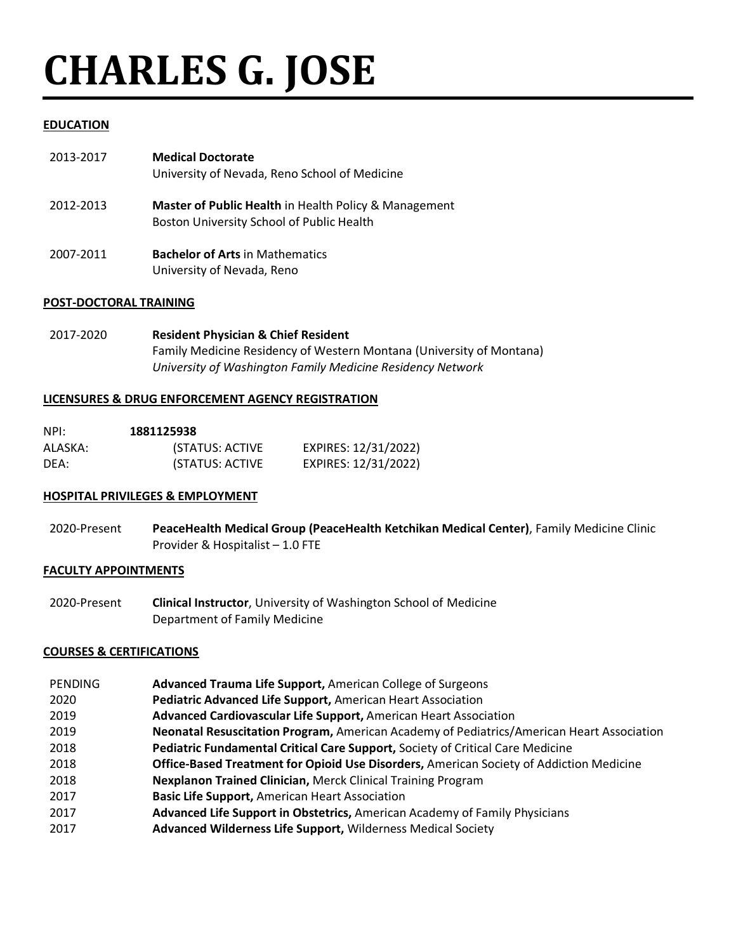# **CHARLES G. JOSE**

## **EDUCATION**

| 2013-2017 | <b>Medical Doctorate</b><br>University of Nevada, Reno School of Medicine                          |
|-----------|----------------------------------------------------------------------------------------------------|
| 2012-2013 | Master of Public Health in Health Policy & Management<br>Boston University School of Public Health |
| 2007-2011 | <b>Bachelor of Arts in Mathematics</b><br>University of Nevada, Reno                               |

## **POST-DOCTORAL TRAINING**

2017-2020 **Resident Physician & Chief Resident** Family Medicine Residency of Western Montana (University of Montana) *University of Washington Family Medicine Residency Network*

## **LICENSURES & DRUG ENFORCEMENT AGENCY REGISTRATION**

| NPI:    | 1881125938      |                      |
|---------|-----------------|----------------------|
| ALASKA: | (STATUS: ACTIVE | EXPIRES: 12/31/2022) |
| DEA:    | (STATUS: ACTIVE | EXPIRES: 12/31/2022) |

## **HOSPITAL PRIVILEGES & EMPLOYMENT**

2020-Present **PeaceHealth Medical Group (PeaceHealth Ketchikan Medical Center)**, Family Medicine Clinic Provider & Hospitalist – 1.0 FTE

## **FACULTY APPOINTMENTS**

2020-Present **Clinical Instructor**, University of Washington School of Medicine Department of Family Medicine

## **COURSES & CERTIFICATIONS**

- **PENDING Advanced Trauma Life Support,** American College of Surgeons
- 2020 **Pediatric Advanced Life Support,** American Heart Association
- 2019 **Advanced Cardiovascular Life Support,** American Heart Association
- 2019 **Neonatal Resuscitation Program,** American Academy of Pediatrics/American Heart Association
- 2018 **Pediatric Fundamental Critical Care Support,** Society of Critical Care Medicine
- 2018 **Office-Based Treatment for Opioid Use Disorders,** American Society of Addiction Medicine
- 2018 **Nexplanon Trained Clinician,** Merck Clinical Training Program
- 2017 **Basic Life Support,** American Heart Association
- 2017 **Advanced Life Support in Obstetrics,** American Academy of Family Physicians
- 2017 **Advanced Wilderness Life Support,** Wilderness Medical Society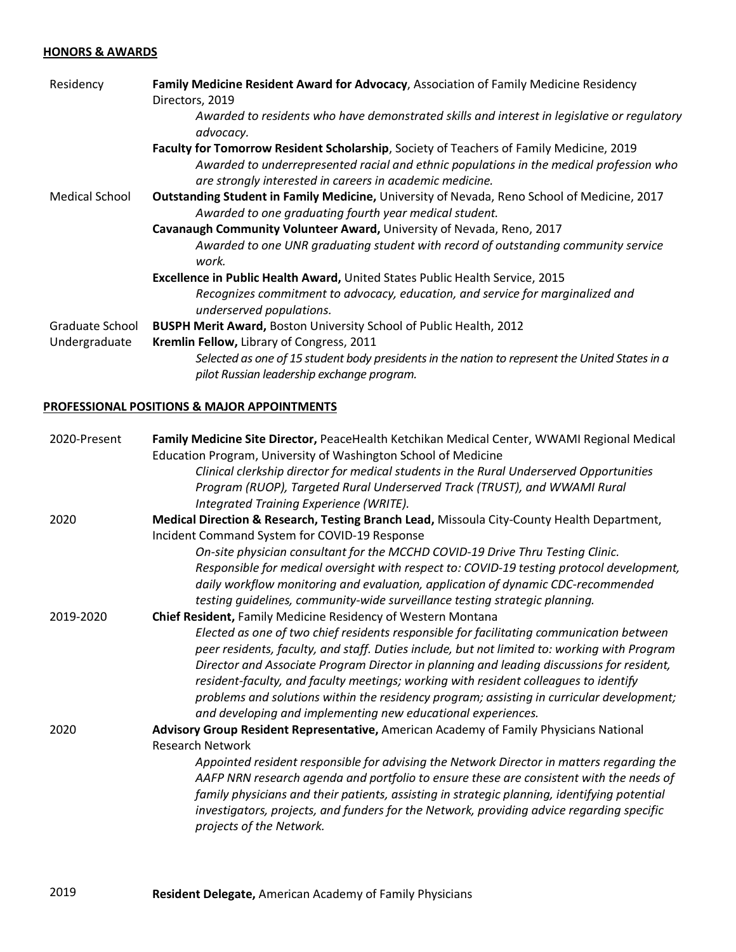## **HONORS & AWARDS**

| Residency       | Family Medicine Resident Award for Advocacy, Association of Family Medicine Residency<br>Directors, 2019                                                                                                                                       |
|-----------------|------------------------------------------------------------------------------------------------------------------------------------------------------------------------------------------------------------------------------------------------|
|                 | Awarded to residents who have demonstrated skills and interest in legislative or regulatory<br>advocacy.                                                                                                                                       |
|                 | Faculty for Tomorrow Resident Scholarship, Society of Teachers of Family Medicine, 2019<br>Awarded to underrepresented racial and ethnic populations in the medical profession who<br>are strongly interested in careers in academic medicine. |
| Medical School  | Outstanding Student in Family Medicine, University of Nevada, Reno School of Medicine, 2017<br>Awarded to one graduating fourth year medical student.                                                                                          |
|                 | Cavanaugh Community Volunteer Award, University of Nevada, Reno, 2017                                                                                                                                                                          |
|                 | Awarded to one UNR graduating student with record of outstanding community service<br>work.                                                                                                                                                    |
|                 | Excellence in Public Health Award, United States Public Health Service, 2015                                                                                                                                                                   |
|                 | Recognizes commitment to advocacy, education, and service for marginalized and<br>underserved populations.                                                                                                                                     |
| Graduate School | BUSPH Merit Award, Boston University School of Public Health, 2012                                                                                                                                                                             |
| Undergraduate   | Kremlin Fellow, Library of Congress, 2011                                                                                                                                                                                                      |
|                 | Selected as one of 15 student body presidents in the nation to represent the United States in a<br>pilot Russian leadership exchange program.                                                                                                  |

#### **PROFESSIONAL POSITIONS & MAJOR APPOINTMENTS**

| 2020-Present | Family Medicine Site Director, PeaceHealth Ketchikan Medical Center, WWAMI Regional Medical                                                                                                                                                                                                                                                                                                                                                                                                                                                |
|--------------|--------------------------------------------------------------------------------------------------------------------------------------------------------------------------------------------------------------------------------------------------------------------------------------------------------------------------------------------------------------------------------------------------------------------------------------------------------------------------------------------------------------------------------------------|
|              | Education Program, University of Washington School of Medicine                                                                                                                                                                                                                                                                                                                                                                                                                                                                             |
|              | Clinical clerkship director for medical students in the Rural Underserved Opportunities                                                                                                                                                                                                                                                                                                                                                                                                                                                    |
|              | Program (RUOP), Targeted Rural Underserved Track (TRUST), and WWAMI Rural                                                                                                                                                                                                                                                                                                                                                                                                                                                                  |
|              | Integrated Training Experience (WRITE).                                                                                                                                                                                                                                                                                                                                                                                                                                                                                                    |
| 2020         | Medical Direction & Research, Testing Branch Lead, Missoula City-County Health Department,                                                                                                                                                                                                                                                                                                                                                                                                                                                 |
|              | Incident Command System for COVID-19 Response                                                                                                                                                                                                                                                                                                                                                                                                                                                                                              |
|              | On-site physician consultant for the MCCHD COVID-19 Drive Thru Testing Clinic.                                                                                                                                                                                                                                                                                                                                                                                                                                                             |
|              | Responsible for medical oversight with respect to: COVID-19 testing protocol development,<br>daily workflow monitoring and evaluation, application of dynamic CDC-recommended<br>testing guidelines, community-wide surveillance testing strategic planning.                                                                                                                                                                                                                                                                               |
| 2019-2020    | Chief Resident, Family Medicine Residency of Western Montana                                                                                                                                                                                                                                                                                                                                                                                                                                                                               |
|              | Elected as one of two chief residents responsible for facilitating communication between<br>peer residents, faculty, and staff. Duties include, but not limited to: working with Program<br>Director and Associate Program Director in planning and leading discussions for resident,<br>resident-faculty, and faculty meetings; working with resident colleagues to identify<br>problems and solutions within the residency program; assisting in curricular development;<br>and developing and implementing new educational experiences. |
| 2020         | Advisory Group Resident Representative, American Academy of Family Physicians National                                                                                                                                                                                                                                                                                                                                                                                                                                                     |
|              | <b>Research Network</b>                                                                                                                                                                                                                                                                                                                                                                                                                                                                                                                    |
|              | Appointed resident responsible for advising the Network Director in matters regarding the<br>AAFP NRN research agenda and portfolio to ensure these are consistent with the needs of<br>family physicians and their patients, assisting in strategic planning, identifying potential<br>investigators, projects, and funders for the Network, providing advice regarding specific<br>projects of the Network.                                                                                                                              |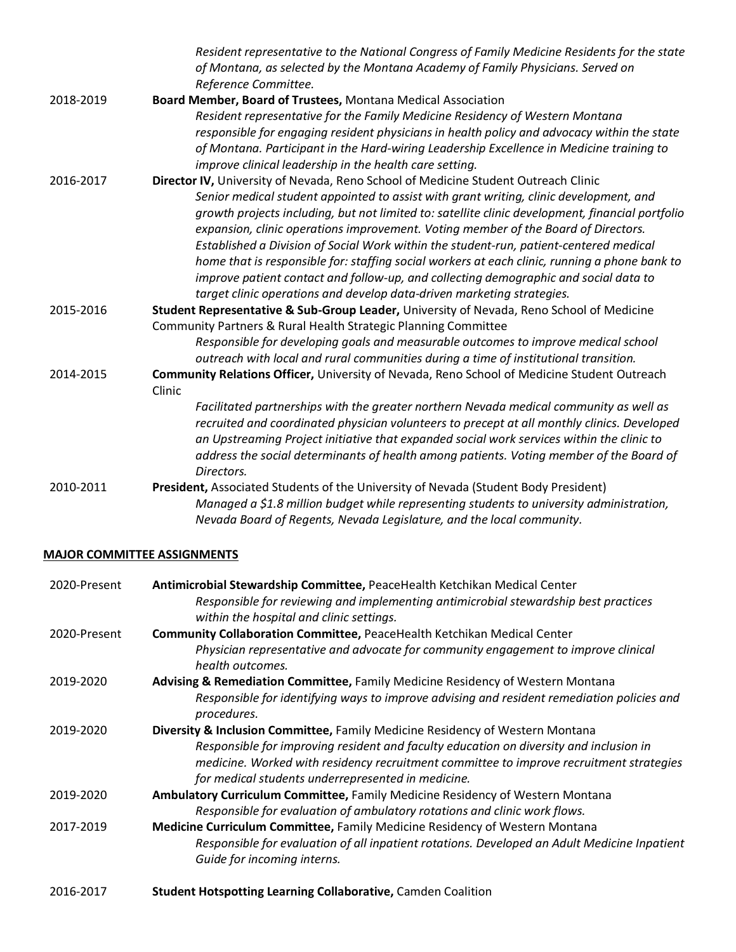|           | Resident representative to the National Congress of Family Medicine Residents for the state<br>of Montana, as selected by the Montana Academy of Family Physicians. Served on<br>Reference Committee. |
|-----------|-------------------------------------------------------------------------------------------------------------------------------------------------------------------------------------------------------|
| 2018-2019 | Board Member, Board of Trustees, Montana Medical Association                                                                                                                                          |
|           | Resident representative for the Family Medicine Residency of Western Montana                                                                                                                          |
|           | responsible for engaging resident physicians in health policy and advocacy within the state                                                                                                           |
|           | of Montana. Participant in the Hard-wiring Leadership Excellence in Medicine training to                                                                                                              |
|           | improve clinical leadership in the health care setting.                                                                                                                                               |
| 2016-2017 | Director IV, University of Nevada, Reno School of Medicine Student Outreach Clinic<br>Senior medical student appointed to assist with grant writing, clinic development, and                          |
|           | growth projects including, but not limited to: satellite clinic development, financial portfolio                                                                                                      |
|           | expansion, clinic operations improvement. Voting member of the Board of Directors.                                                                                                                    |
|           | Established a Division of Social Work within the student-run, patient-centered medical                                                                                                                |
|           | home that is responsible for: staffing social workers at each clinic, running a phone bank to                                                                                                         |
|           | improve patient contact and follow-up, and collecting demographic and social data to                                                                                                                  |
|           | target clinic operations and develop data-driven marketing strategies.                                                                                                                                |
| 2015-2016 | Student Representative & Sub-Group Leader, University of Nevada, Reno School of Medicine                                                                                                              |
|           | Community Partners & Rural Health Strategic Planning Committee                                                                                                                                        |
|           | Responsible for developing goals and measurable outcomes to improve medical school                                                                                                                    |
|           | outreach with local and rural communities during a time of institutional transition.                                                                                                                  |
| 2014-2015 | Community Relations Officer, University of Nevada, Reno School of Medicine Student Outreach<br>Clinic                                                                                                 |
|           | Facilitated partnerships with the greater northern Nevada medical community as well as                                                                                                                |
|           | recruited and coordinated physician volunteers to precept at all monthly clinics. Developed                                                                                                           |
|           | an Upstreaming Project initiative that expanded social work services within the clinic to                                                                                                             |
|           | address the social determinants of health among patients. Voting member of the Board of<br>Directors.                                                                                                 |
| 2010-2011 | President, Associated Students of the University of Nevada (Student Body President)                                                                                                                   |
|           | Managed a \$1.8 million budget while representing students to university administration,<br>Nevada Board of Regents, Nevada Legislature, and the local community.                                     |

## **MAJOR COMMITTEE ASSIGNMENTS**

| 2020-Present | Antimicrobial Stewardship Committee, PeaceHealth Ketchikan Medical Center<br>Responsible for reviewing and implementing antimicrobial stewardship best practices |
|--------------|------------------------------------------------------------------------------------------------------------------------------------------------------------------|
|              | within the hospital and clinic settings.                                                                                                                         |
| 2020-Present | Community Collaboration Committee, PeaceHealth Ketchikan Medical Center                                                                                          |
|              | Physician representative and advocate for community engagement to improve clinical<br>health outcomes.                                                           |
| 2019-2020    | Advising & Remediation Committee, Family Medicine Residency of Western Montana                                                                                   |
|              | Responsible for identifying ways to improve advising and resident remediation policies and<br>procedures.                                                        |
| 2019-2020    | Diversity & Inclusion Committee, Family Medicine Residency of Western Montana                                                                                    |
|              | Responsible for improving resident and faculty education on diversity and inclusion in                                                                           |
|              | medicine. Worked with residency recruitment committee to improve recruitment strategies<br>for medical students underrepresented in medicine.                    |
| 2019-2020    | Ambulatory Curriculum Committee, Family Medicine Residency of Western Montana                                                                                    |
|              | Responsible for evaluation of ambulatory rotations and clinic work flows.                                                                                        |
| 2017-2019    | Medicine Curriculum Committee, Family Medicine Residency of Western Montana                                                                                      |
|              | Responsible for evaluation of all inpatient rotations. Developed an Adult Medicine Inpatient<br>Guide for incoming interns.                                      |
| 2016-2017    | <b>Student Hotspotting Learning Collaborative, Camden Coalition</b>                                                                                              |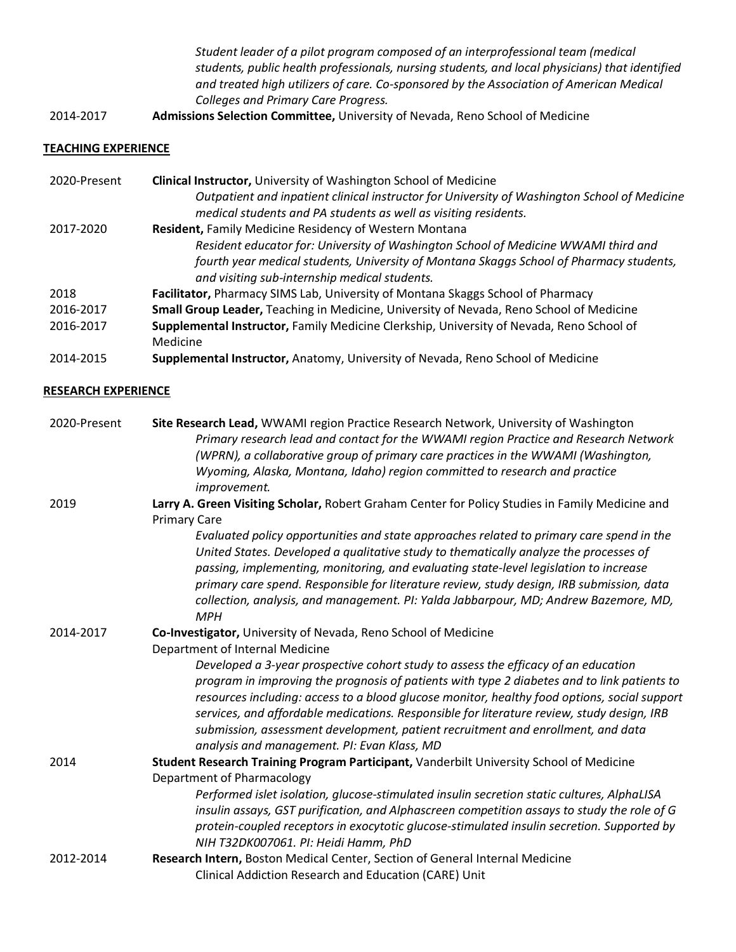*Student leader of a pilot program composed of an interprofessional team (medical students, public health professionals, nursing students, and local physicians) that identified and treated high utilizers of care. Co-sponsored by the Association of American Medical Colleges and Primary Care Progress.*

2014-2017 **Admissions Selection Committee,** University of Nevada, Reno School of Medicine

## **TEACHING EXPERIENCE**

| 2020-Present | <b>Clinical Instructor, University of Washington School of Medicine</b>                      |
|--------------|----------------------------------------------------------------------------------------------|
|              | Outpatient and inpatient clinical instructor for University of Washington School of Medicine |
|              | medical students and PA students as well as visiting residents.                              |
| 2017-2020    | <b>Resident, Family Medicine Residency of Western Montana</b>                                |
|              | Resident educator for: University of Washington School of Medicine WWAMI third and           |
|              | fourth year medical students, University of Montana Skaggs School of Pharmacy students,      |
|              | and visiting sub-internship medical students.                                                |
| 2018         | Facilitator, Pharmacy SIMS Lab, University of Montana Skaggs School of Pharmacy              |
| 2016-2017    | Small Group Leader, Teaching in Medicine, University of Nevada, Reno School of Medicine      |
| 2016-2017    | Supplemental Instructor, Family Medicine Clerkship, University of Nevada, Reno School of     |
|              | Medicine                                                                                     |
| 2014-2015    | Supplemental Instructor, Anatomy, University of Nevada, Reno School of Medicine              |

#### **RESEARCH EXPERIENCE**

| 2020-Present | Site Research Lead, WWAMI region Practice Research Network, University of Washington<br>Primary research lead and contact for the WWAMI region Practice and Research Network<br>(WPRN), a collaborative group of primary care practices in the WWAMI (Washington,                                                                                                                                                                                                                                                  |
|--------------|--------------------------------------------------------------------------------------------------------------------------------------------------------------------------------------------------------------------------------------------------------------------------------------------------------------------------------------------------------------------------------------------------------------------------------------------------------------------------------------------------------------------|
|              | Wyoming, Alaska, Montana, Idaho) region committed to research and practice<br>improvement.                                                                                                                                                                                                                                                                                                                                                                                                                         |
| 2019         | Larry A. Green Visiting Scholar, Robert Graham Center for Policy Studies in Family Medicine and<br><b>Primary Care</b>                                                                                                                                                                                                                                                                                                                                                                                             |
|              | Evaluated policy opportunities and state approaches related to primary care spend in the<br>United States. Developed a qualitative study to thematically analyze the processes of<br>passing, implementing, monitoring, and evaluating state-level legislation to increase<br>primary care spend. Responsible for literature review, study design, IRB submission, data<br>collection, analysis, and management. PI: Yalda Jabbarpour, MD; Andrew Bazemore, MD,<br><b>MPH</b>                                      |
| 2014-2017    | Co-Investigator, University of Nevada, Reno School of Medicine<br>Department of Internal Medicine                                                                                                                                                                                                                                                                                                                                                                                                                  |
|              | Developed a 3-year prospective cohort study to assess the efficacy of an education<br>program in improving the prognosis of patients with type 2 diabetes and to link patients to<br>resources including: access to a blood glucose monitor, healthy food options, social support<br>services, and affordable medications. Responsible for literature review, study design, IRB<br>submission, assessment development, patient recruitment and enrollment, and data<br>analysis and management. PI: Evan Klass, MD |
| 2014         | Student Research Training Program Participant, Vanderbilt University School of Medicine                                                                                                                                                                                                                                                                                                                                                                                                                            |
|              | Department of Pharmacology                                                                                                                                                                                                                                                                                                                                                                                                                                                                                         |
|              | Performed islet isolation, glucose-stimulated insulin secretion static cultures, AlphaLISA<br>insulin assays, GST purification, and Alphascreen competition assays to study the role of G<br>protein-coupled receptors in exocytotic glucose-stimulated insulin secretion. Supported by                                                                                                                                                                                                                            |
|              | NIH T32DK007061. PI: Heidi Hamm, PhD                                                                                                                                                                                                                                                                                                                                                                                                                                                                               |
| 2012-2014    | Research Intern, Boston Medical Center, Section of General Internal Medicine                                                                                                                                                                                                                                                                                                                                                                                                                                       |
|              | Clinical Addiction Research and Education (CARE) Unit                                                                                                                                                                                                                                                                                                                                                                                                                                                              |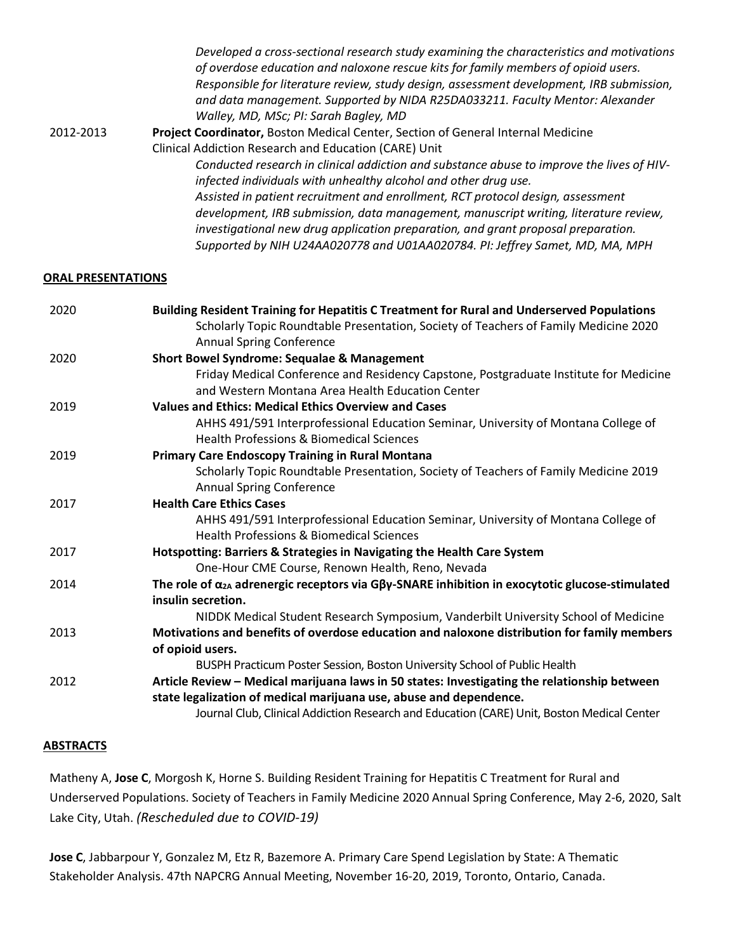|           | Developed a cross-sectional research study examining the characteristics and motivations<br>of overdose education and naloxone rescue kits for family members of opioid users.<br>Responsible for literature review, study design, assessment development, IRB submission,<br>and data management. Supported by NIDA R25DA033211. Faculty Mentor: Alexander<br>Walley, MD, MSc; PI: Sarah Bagley, MD |
|-----------|------------------------------------------------------------------------------------------------------------------------------------------------------------------------------------------------------------------------------------------------------------------------------------------------------------------------------------------------------------------------------------------------------|
| 2012-2013 | Project Coordinator, Boston Medical Center, Section of General Internal Medicine                                                                                                                                                                                                                                                                                                                     |
|           | Clinical Addiction Research and Education (CARE) Unit                                                                                                                                                                                                                                                                                                                                                |
|           | Conducted research in clinical addiction and substance abuse to improve the lives of HIV-                                                                                                                                                                                                                                                                                                            |
|           | infected individuals with unhealthy alcohol and other drug use.                                                                                                                                                                                                                                                                                                                                      |
|           | Assisted in patient recruitment and enrollment, RCT protocol design, assessment                                                                                                                                                                                                                                                                                                                      |
|           | development, IRB submission, data management, manuscript writing, literature review,                                                                                                                                                                                                                                                                                                                 |
|           | investigational new drug application preparation, and grant proposal preparation.                                                                                                                                                                                                                                                                                                                    |
|           | Supported by NIH U24AA020778 and U01AA020784. PI: Jeffrey Samet, MD, MA, MPH                                                                                                                                                                                                                                                                                                                         |

#### **ORAL PRESENTATIONS**

| 2020 | Building Resident Training for Hepatitis C Treatment for Rural and Underserved Populations<br>Scholarly Topic Roundtable Presentation, Society of Teachers of Family Medicine 2020<br><b>Annual Spring Conference</b>                                            |
|------|------------------------------------------------------------------------------------------------------------------------------------------------------------------------------------------------------------------------------------------------------------------|
| 2020 | <b>Short Bowel Syndrome: Sequalae &amp; Management</b>                                                                                                                                                                                                           |
|      | Friday Medical Conference and Residency Capstone, Postgraduate Institute for Medicine<br>and Western Montana Area Health Education Center                                                                                                                        |
| 2019 | <b>Values and Ethics: Medical Ethics Overview and Cases</b>                                                                                                                                                                                                      |
|      | AHHS 491/591 Interprofessional Education Seminar, University of Montana College of<br><b>Health Professions &amp; Biomedical Sciences</b>                                                                                                                        |
| 2019 | <b>Primary Care Endoscopy Training in Rural Montana</b>                                                                                                                                                                                                          |
|      | Scholarly Topic Roundtable Presentation, Society of Teachers of Family Medicine 2019<br><b>Annual Spring Conference</b>                                                                                                                                          |
| 2017 | <b>Health Care Ethics Cases</b>                                                                                                                                                                                                                                  |
|      | AHHS 491/591 Interprofessional Education Seminar, University of Montana College of<br><b>Health Professions &amp; Biomedical Sciences</b>                                                                                                                        |
| 2017 | Hotspotting: Barriers & Strategies in Navigating the Health Care System                                                                                                                                                                                          |
|      | One-Hour CME Course, Renown Health, Reno, Nevada                                                                                                                                                                                                                 |
| 2014 | The role of $\alpha_{2A}$ adrenergic receptors via G $\beta y$ -SNARE inhibition in exocytotic glucose-stimulated<br>insulin secretion.                                                                                                                          |
|      | NIDDK Medical Student Research Symposium, Vanderbilt University School of Medicine                                                                                                                                                                               |
| 2013 | Motivations and benefits of overdose education and naloxone distribution for family members                                                                                                                                                                      |
|      | of opioid users.                                                                                                                                                                                                                                                 |
|      | BUSPH Practicum Poster Session, Boston University School of Public Health                                                                                                                                                                                        |
| 2012 | Article Review - Medical marijuana laws in 50 states: Investigating the relationship between<br>state legalization of medical marijuana use, abuse and dependence.<br>Journal Club, Clinical Addiction Research and Education (CARE) Unit, Boston Medical Center |
|      |                                                                                                                                                                                                                                                                  |

## **ABSTRACTS**

Matheny A, **Jose C**, Morgosh K, Horne S. Building Resident Training for Hepatitis C Treatment for Rural and Underserved Populations. Society of Teachers in Family Medicine 2020 Annual Spring Conference, May 2-6, 2020, Salt Lake City, Utah. *(Rescheduled due to COVID-19)*

**Jose C**, Jabbarpour Y, Gonzalez M, Etz R, Bazemore A. Primary Care Spend Legislation by State: A Thematic Stakeholder Analysis. 47th NAPCRG Annual Meeting, November 16-20, 2019, Toronto, Ontario, Canada.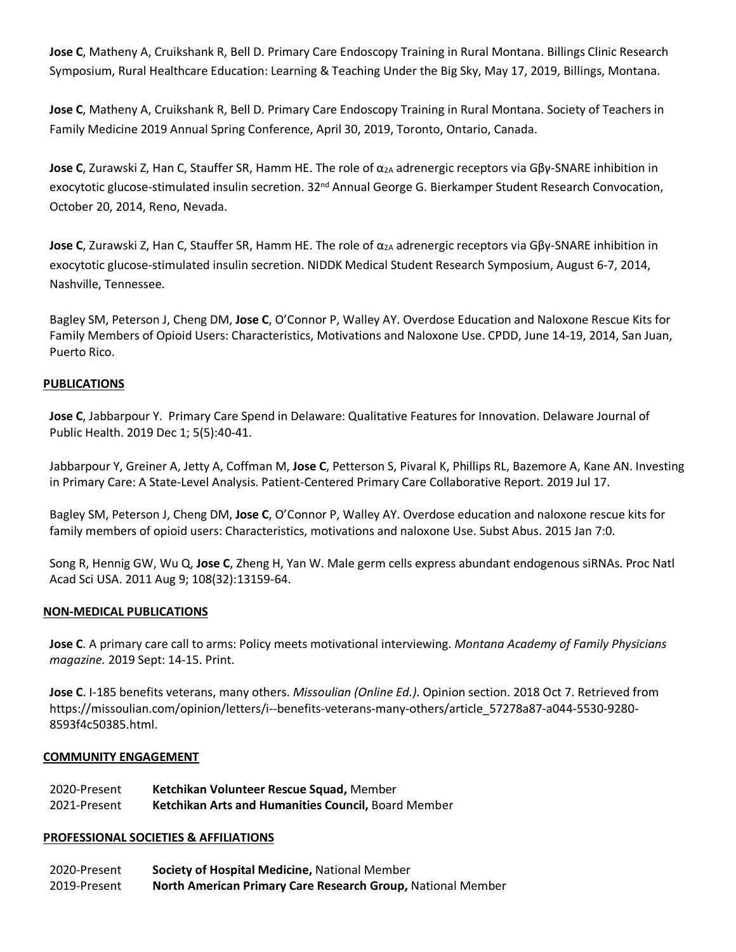**Jose C**, Matheny A, Cruikshank R, Bell D. Primary Care Endoscopy Training in Rural Montana. Billings Clinic Research Symposium, Rural Healthcare Education: Learning & Teaching Under the Big Sky, May 17, 2019, Billings, Montana.

**Jose C**, Matheny A, Cruikshank R, Bell D. Primary Care Endoscopy Training in Rural Montana. Society of Teachers in Family Medicine 2019 Annual Spring Conference, April 30, 2019, Toronto, Ontario, Canada.

**Jose C**, Zurawski Z, Han C, Stauffer SR, Hamm HE. The role of α<sub>2A</sub> adrenergic receptors via Gβγ-SNARE inhibition in exocytotic glucose-stimulated insulin secretion. 32<sup>nd</sup> Annual George G. Bierkamper Student Research Convocation, October 20, 2014, Reno, Nevada.

**Jose C**, Zurawski Z, Han C, Stauffer SR, Hamm HE. The role of α<sub>2A</sub> adrenergic receptors via Gβγ-SNARE inhibition in exocytotic glucose-stimulated insulin secretion. NIDDK Medical Student Research Symposium, August 6-7, 2014, Nashville, Tennessee.

Bagley SM, Peterson J, Cheng DM, **Jose C**, O'Connor P, Walley AY. Overdose Education and Naloxone Rescue Kits for Family Members of Opioid Users: Characteristics, Motivations and Naloxone Use. CPDD, June 14-19, 2014, San Juan, Puerto Rico.

## **PUBLICATIONS**

**Jose C**, Jabbarpour Y. Primary Care Spend in Delaware: Qualitative Features for Innovation. Delaware Journal of Public Health. 2019 Dec 1; 5(5):40-41.

Jabbarpour Y, Greiner A, Jetty A, Coffman M, **Jose C**, Petterson S, Pivaral K, Phillips RL, Bazemore A, Kane AN. Investing in Primary Care: A State-Level Analysis. Patient-Centered Primary Care Collaborative Report. 2019 Jul 17.

Bagley SM, Peterson J, Cheng DM, **Jose C**, O'Connor P, Walley AY. Overdose education and naloxone rescue kits for family members of opioid users: Characteristics, motivations and naloxone Use. Subst Abus. 2015 Jan 7:0.

Song R, Hennig GW, Wu Q, **Jose C**, Zheng H, Yan W. Male germ cells express abundant endogenous siRNAs. Proc Natl Acad Sci USA. 2011 Aug 9; 108(32):13159-64.

## **NON-MEDICAL PUBLICATIONS**

**Jose C**. A primary care call to arms: Policy meets motivational interviewing. *Montana Academy of Family Physicians magazine.* 2019 Sept: 14-15. Print.

**Jose C**. I-185 benefits veterans, many others. *Missoulian (Online Ed.)*. Opinion section. 2018 Oct 7. Retrieved from https://missoulian.com/opinion/letters/i--benefits-veterans-many-others/article\_57278a87-a044-5530-9280- 8593f4c50385.html.

#### **COMMUNITY ENGAGEMENT**

2020-Present 2021-Present **Ketchikan Volunteer Rescue Squad,** Member **Ketchikan Arts and Humanities Council,** Board Member

#### **PROFESSIONAL SOCIETIES & AFFILIATIONS**

- 2020-Present **Society of Hospital Medicine,** National Member
- 2019-Present **North American Primary Care Research Group,** National Member